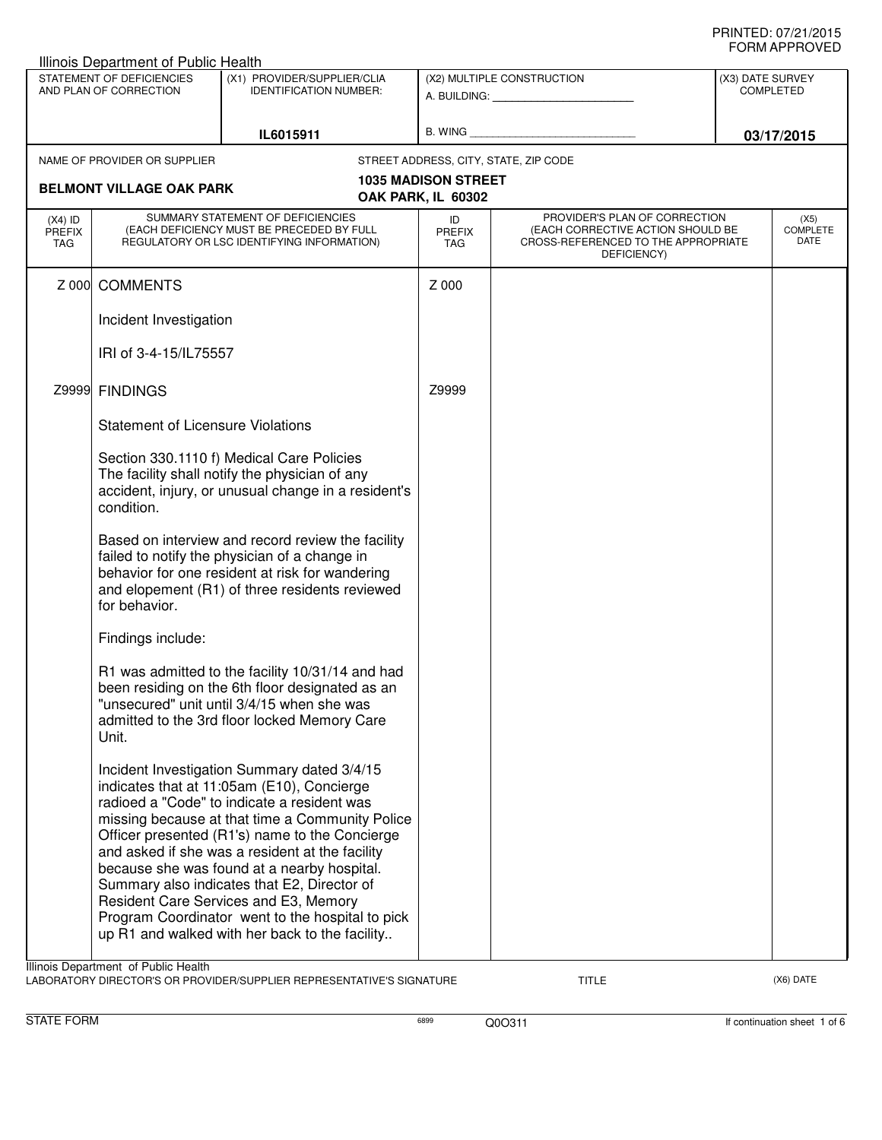| ◡੶┉灬┌┅ ┌ ┌ ┌ ∪ ∪ ∟◡<br>Illinois Department of Public Health                                                         |                                                                                                                                                                                                                          |                                                                                                                                                                                                                                                                                                                                                                                                                                                                                                                                               |                                                  |                                                                                                                          |  |                                 |
|---------------------------------------------------------------------------------------------------------------------|--------------------------------------------------------------------------------------------------------------------------------------------------------------------------------------------------------------------------|-----------------------------------------------------------------------------------------------------------------------------------------------------------------------------------------------------------------------------------------------------------------------------------------------------------------------------------------------------------------------------------------------------------------------------------------------------------------------------------------------------------------------------------------------|--------------------------------------------------|--------------------------------------------------------------------------------------------------------------------------|--|---------------------------------|
| STATEMENT OF DEFICIENCIES<br>(X1) PROVIDER/SUPPLIER/CLIA<br>AND PLAN OF CORRECTION<br><b>IDENTIFICATION NUMBER:</b> |                                                                                                                                                                                                                          | (X2) MULTIPLE CONSTRUCTION<br>A. BUILDING: A. BUILDING:                                                                                                                                                                                                                                                                                                                                                                                                                                                                                       |                                                  | (X3) DATE SURVEY<br><b>COMPLETED</b>                                                                                     |  |                                 |
| IL6015911                                                                                                           |                                                                                                                                                                                                                          |                                                                                                                                                                                                                                                                                                                                                                                                                                                                                                                                               |                                                  | 03/17/2015                                                                                                               |  |                                 |
|                                                                                                                     | NAME OF PROVIDER OR SUPPLIER                                                                                                                                                                                             |                                                                                                                                                                                                                                                                                                                                                                                                                                                                                                                                               |                                                  | STREET ADDRESS, CITY, STATE, ZIP CODE                                                                                    |  |                                 |
|                                                                                                                     | <b>BELMONT VILLAGE OAK PARK</b>                                                                                                                                                                                          |                                                                                                                                                                                                                                                                                                                                                                                                                                                                                                                                               | <b>1035 MADISON STREET</b><br>OAK PARK, IL 60302 |                                                                                                                          |  |                                 |
| $(X4)$ ID<br><b>PREFIX</b><br>TAG                                                                                   |                                                                                                                                                                                                                          | SUMMARY STATEMENT OF DEFICIENCIES<br>(EACH DEFICIENCY MUST BE PRECEDED BY FULL<br>REGULATORY OR LSC IDENTIFYING INFORMATION)                                                                                                                                                                                                                                                                                                                                                                                                                  | ID<br><b>PREFIX</b><br>TAG                       | PROVIDER'S PLAN OF CORRECTION<br>(EACH CORRECTIVE ACTION SHOULD BE<br>CROSS-REFERENCED TO THE APPROPRIATE<br>DEFICIENCY) |  | (X5)<br><b>COMPLETE</b><br>DATE |
| Z 000                                                                                                               | <b>COMMENTS</b>                                                                                                                                                                                                          |                                                                                                                                                                                                                                                                                                                                                                                                                                                                                                                                               | Z 000                                            |                                                                                                                          |  |                                 |
|                                                                                                                     | Incident Investigation                                                                                                                                                                                                   |                                                                                                                                                                                                                                                                                                                                                                                                                                                                                                                                               |                                                  |                                                                                                                          |  |                                 |
|                                                                                                                     | IRI of 3-4-15/IL75557                                                                                                                                                                                                    |                                                                                                                                                                                                                                                                                                                                                                                                                                                                                                                                               |                                                  |                                                                                                                          |  |                                 |
|                                                                                                                     | Z9999 FINDINGS                                                                                                                                                                                                           |                                                                                                                                                                                                                                                                                                                                                                                                                                                                                                                                               | Z9999                                            |                                                                                                                          |  |                                 |
|                                                                                                                     | <b>Statement of Licensure Violations</b>                                                                                                                                                                                 |                                                                                                                                                                                                                                                                                                                                                                                                                                                                                                                                               |                                                  |                                                                                                                          |  |                                 |
|                                                                                                                     | condition.                                                                                                                                                                                                               | Section 330.1110 f) Medical Care Policies<br>The facility shall notify the physician of any<br>accident, injury, or unusual change in a resident's                                                                                                                                                                                                                                                                                                                                                                                            |                                                  |                                                                                                                          |  |                                 |
|                                                                                                                     | Based on interview and record review the facility<br>failed to notify the physician of a change in<br>behavior for one resident at risk for wandering<br>and elopement (R1) of three residents reviewed<br>for behavior. |                                                                                                                                                                                                                                                                                                                                                                                                                                                                                                                                               |                                                  |                                                                                                                          |  |                                 |
|                                                                                                                     | Findings include:                                                                                                                                                                                                        |                                                                                                                                                                                                                                                                                                                                                                                                                                                                                                                                               |                                                  |                                                                                                                          |  |                                 |
|                                                                                                                     | Unit.                                                                                                                                                                                                                    | R1 was admitted to the facility 10/31/14 and had<br>been residing on the 6th floor designated as an<br>"unsecured" unit until 3/4/15 when she was<br>admitted to the 3rd floor locked Memory Care                                                                                                                                                                                                                                                                                                                                             |                                                  |                                                                                                                          |  |                                 |
|                                                                                                                     |                                                                                                                                                                                                                          | Incident Investigation Summary dated 3/4/15<br>indicates that at 11:05am (E10), Concierge<br>radioed a "Code" to indicate a resident was<br>missing because at that time a Community Police<br>Officer presented (R1's) name to the Concierge<br>and asked if she was a resident at the facility<br>because she was found at a nearby hospital.<br>Summary also indicates that E2, Director of<br>Resident Care Services and E3, Memory<br>Program Coordinator went to the hospital to pick<br>up R1 and walked with her back to the facility |                                                  |                                                                                                                          |  |                                 |
|                                                                                                                     | Illinois Department of Public Health                                                                                                                                                                                     |                                                                                                                                                                                                                                                                                                                                                                                                                                                                                                                                               |                                                  |                                                                                                                          |  |                                 |

LABORATORY DIRECTOR'S OR PROVIDER/SUPPLIER REPRESENTATIVE'S SIGNATURE TITLE TITLE THE TITLE (X6) DATE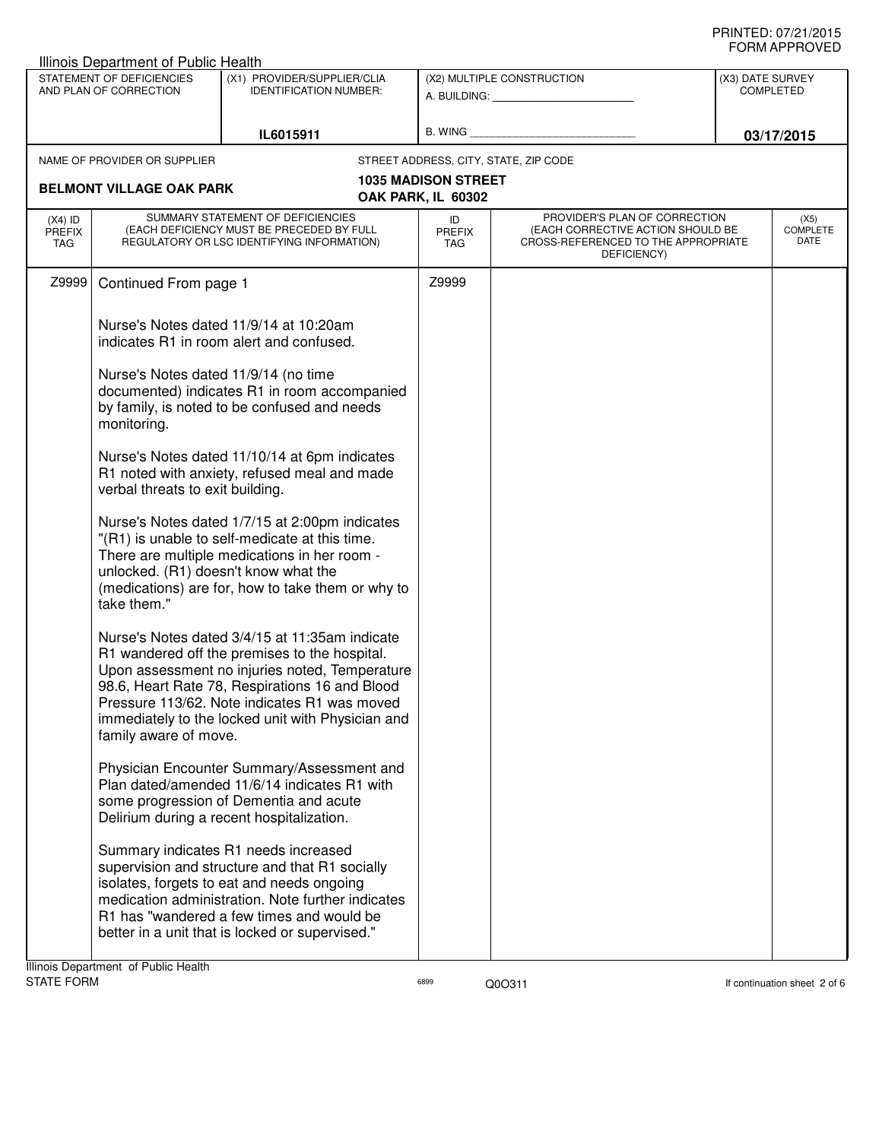| <b>Illinois Department of Public Health</b>                                                                         |                                                     |                                                                                                                                                                                                                                                                                                          |                                                  |                                                                                                                          |  |                                 |
|---------------------------------------------------------------------------------------------------------------------|-----------------------------------------------------|----------------------------------------------------------------------------------------------------------------------------------------------------------------------------------------------------------------------------------------------------------------------------------------------------------|--------------------------------------------------|--------------------------------------------------------------------------------------------------------------------------|--|---------------------------------|
| STATEMENT OF DEFICIENCIES<br>(X1) PROVIDER/SUPPLIER/CLIA<br>AND PLAN OF CORRECTION<br><b>IDENTIFICATION NUMBER:</b> |                                                     | (X2) MULTIPLE CONSTRUCTION<br>A. BUILDING: A. BUILDING:                                                                                                                                                                                                                                                  |                                                  | (X3) DATE SURVEY<br><b>COMPLETED</b>                                                                                     |  |                                 |
|                                                                                                                     |                                                     |                                                                                                                                                                                                                                                                                                          |                                                  |                                                                                                                          |  |                                 |
|                                                                                                                     |                                                     | IL6015911                                                                                                                                                                                                                                                                                                | B. WING                                          |                                                                                                                          |  | 03/17/2015                      |
|                                                                                                                     | NAME OF PROVIDER OR SUPPLIER                        |                                                                                                                                                                                                                                                                                                          |                                                  | STREET ADDRESS, CITY, STATE, ZIP CODE                                                                                    |  |                                 |
|                                                                                                                     | <b>BELMONT VILLAGE OAK PARK</b>                     |                                                                                                                                                                                                                                                                                                          | <b>1035 MADISON STREET</b><br>OAK PARK, IL 60302 |                                                                                                                          |  |                                 |
| $(X4)$ ID<br>PREFIX<br>TAG                                                                                          |                                                     | SUMMARY STATEMENT OF DEFICIENCIES<br>(EACH DEFICIENCY MUST BE PRECEDED BY FULL<br>REGULATORY OR LSC IDENTIFYING INFORMATION)                                                                                                                                                                             | ID<br><b>PREFIX</b><br><b>TAG</b>                | PROVIDER'S PLAN OF CORRECTION<br>(EACH CORRECTIVE ACTION SHOULD BE<br>CROSS-REFERENCED TO THE APPROPRIATE<br>DEFICIENCY) |  | (X5)<br><b>COMPLETE</b><br>DATE |
| Z9999                                                                                                               | Continued From page 1                               |                                                                                                                                                                                                                                                                                                          | Z9999                                            |                                                                                                                          |  |                                 |
|                                                                                                                     |                                                     | Nurse's Notes dated 11/9/14 at 10:20am<br>indicates R1 in room alert and confused.                                                                                                                                                                                                                       |                                                  |                                                                                                                          |  |                                 |
|                                                                                                                     | Nurse's Notes dated 11/9/14 (no time<br>monitoring. | documented) indicates R1 in room accompanied<br>by family, is noted to be confused and needs                                                                                                                                                                                                             |                                                  |                                                                                                                          |  |                                 |
|                                                                                                                     | verbal threats to exit building.                    | Nurse's Notes dated 11/10/14 at 6pm indicates<br>R1 noted with anxiety, refused meal and made                                                                                                                                                                                                            |                                                  |                                                                                                                          |  |                                 |
|                                                                                                                     | unlocked. (R1) doesn't know what the<br>take them." | Nurse's Notes dated 1/7/15 at 2:00pm indicates<br>"(R1) is unable to self-medicate at this time.<br>There are multiple medications in her room -<br>(medications) are for, how to take them or why to                                                                                                    |                                                  |                                                                                                                          |  |                                 |
|                                                                                                                     | family aware of move.                               | Nurse's Notes dated 3/4/15 at 11:35am indicate<br>R1 wandered off the premises to the hospital.<br>Upon assessment no injuries noted, Temperature<br>98.6, Heart Rate 78, Respirations 16 and Blood<br>Pressure 113/62. Note indicates R1 was moved<br>immediately to the locked unit with Physician and |                                                  |                                                                                                                          |  |                                 |
|                                                                                                                     |                                                     | Physician Encounter Summary/Assessment and<br>Plan dated/amended 11/6/14 indicates R1 with<br>some progression of Dementia and acute<br>Delirium during a recent hospitalization.                                                                                                                        |                                                  |                                                                                                                          |  |                                 |
|                                                                                                                     |                                                     | Summary indicates R1 needs increased<br>supervision and structure and that R1 socially<br>isolates, forgets to eat and needs ongoing<br>medication administration. Note further indicates<br>R1 has "wandered a few times and would be<br>better in a unit that is locked or supervised."                |                                                  |                                                                                                                          |  |                                 |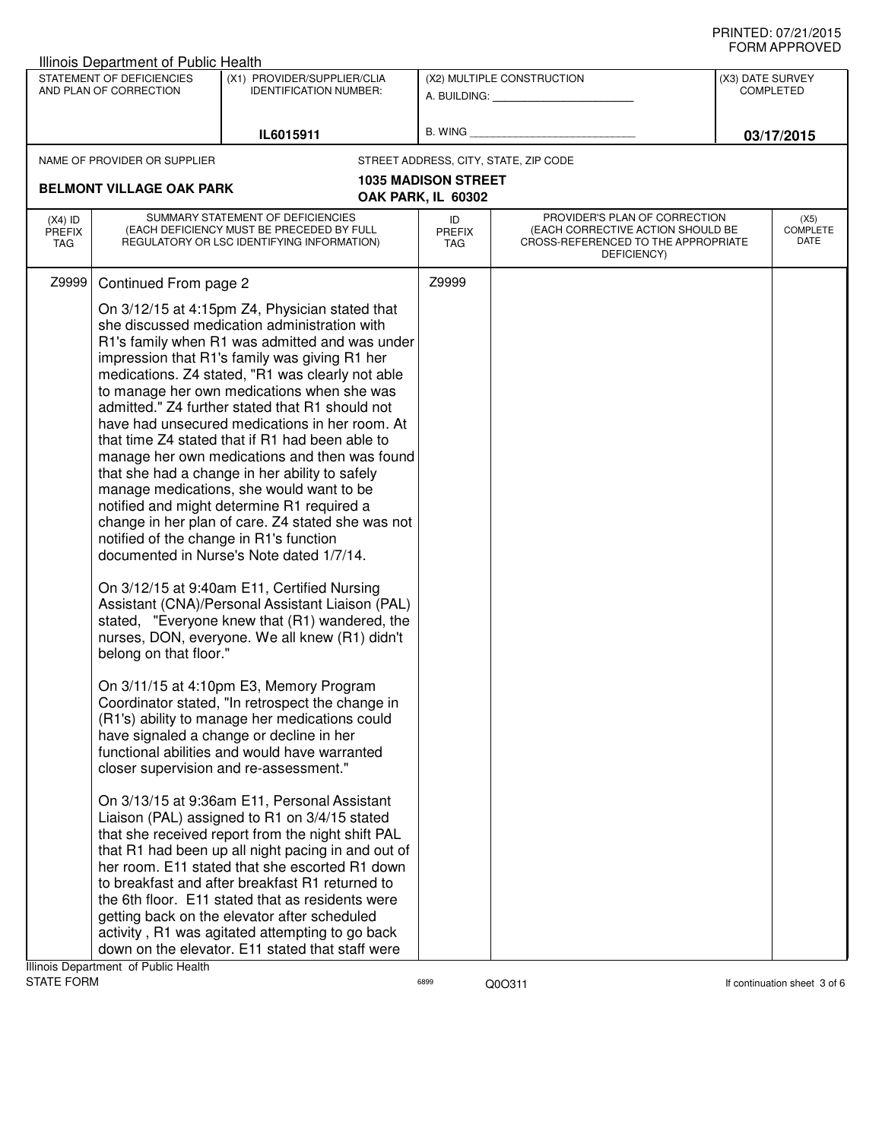| ש∟יטוו ו ותושוט<br>Illinois Department of Public Health                                                             |                                                                                                                                                                                                                                                                                                                                                                                                                                                                                                                                                                                                                                                                                                                                                                                                                                                                                                                                                                                                                                                                                                                                                                                                                                                                                                                                                                                                                                                                                                                                                                                                                                                                                                                                                                                                                                                                                                                                                                                                                                   |                                                         |                                                  |                                                                                                                          |  |                                 |
|---------------------------------------------------------------------------------------------------------------------|-----------------------------------------------------------------------------------------------------------------------------------------------------------------------------------------------------------------------------------------------------------------------------------------------------------------------------------------------------------------------------------------------------------------------------------------------------------------------------------------------------------------------------------------------------------------------------------------------------------------------------------------------------------------------------------------------------------------------------------------------------------------------------------------------------------------------------------------------------------------------------------------------------------------------------------------------------------------------------------------------------------------------------------------------------------------------------------------------------------------------------------------------------------------------------------------------------------------------------------------------------------------------------------------------------------------------------------------------------------------------------------------------------------------------------------------------------------------------------------------------------------------------------------------------------------------------------------------------------------------------------------------------------------------------------------------------------------------------------------------------------------------------------------------------------------------------------------------------------------------------------------------------------------------------------------------------------------------------------------------------------------------------------------|---------------------------------------------------------|--------------------------------------------------|--------------------------------------------------------------------------------------------------------------------------|--|---------------------------------|
| STATEMENT OF DEFICIENCIES<br>(X1) PROVIDER/SUPPLIER/CLIA<br>AND PLAN OF CORRECTION<br><b>IDENTIFICATION NUMBER:</b> |                                                                                                                                                                                                                                                                                                                                                                                                                                                                                                                                                                                                                                                                                                                                                                                                                                                                                                                                                                                                                                                                                                                                                                                                                                                                                                                                                                                                                                                                                                                                                                                                                                                                                                                                                                                                                                                                                                                                                                                                                                   | (X2) MULTIPLE CONSTRUCTION<br>A. BUILDING: A. BUILDING: |                                                  | (X3) DATE SURVEY<br><b>COMPLETED</b>                                                                                     |  |                                 |
|                                                                                                                     |                                                                                                                                                                                                                                                                                                                                                                                                                                                                                                                                                                                                                                                                                                                                                                                                                                                                                                                                                                                                                                                                                                                                                                                                                                                                                                                                                                                                                                                                                                                                                                                                                                                                                                                                                                                                                                                                                                                                                                                                                                   | IL6015911                                               |                                                  | B. WING <b>Example 2008</b>                                                                                              |  | 03/17/2015                      |
|                                                                                                                     |                                                                                                                                                                                                                                                                                                                                                                                                                                                                                                                                                                                                                                                                                                                                                                                                                                                                                                                                                                                                                                                                                                                                                                                                                                                                                                                                                                                                                                                                                                                                                                                                                                                                                                                                                                                                                                                                                                                                                                                                                                   |                                                         |                                                  | STREET ADDRESS, CITY, STATE, ZIP CODE                                                                                    |  |                                 |
|                                                                                                                     |                                                                                                                                                                                                                                                                                                                                                                                                                                                                                                                                                                                                                                                                                                                                                                                                                                                                                                                                                                                                                                                                                                                                                                                                                                                                                                                                                                                                                                                                                                                                                                                                                                                                                                                                                                                                                                                                                                                                                                                                                                   |                                                         | <b>1035 MADISON STREET</b><br>OAK PARK, IL 60302 |                                                                                                                          |  |                                 |
| $(X4)$ ID<br><b>PREFIX</b><br>TAG                                                                                   |                                                                                                                                                                                                                                                                                                                                                                                                                                                                                                                                                                                                                                                                                                                                                                                                                                                                                                                                                                                                                                                                                                                                                                                                                                                                                                                                                                                                                                                                                                                                                                                                                                                                                                                                                                                                                                                                                                                                                                                                                                   |                                                         | ID<br><b>PREFIX</b><br>TAG                       | PROVIDER'S PLAN OF CORRECTION<br>(EACH CORRECTIVE ACTION SHOULD BE<br>CROSS-REFERENCED TO THE APPROPRIATE<br>DEFICIENCY) |  | (X5)<br><b>COMPLETE</b><br>DATE |
| Z9999                                                                                                               |                                                                                                                                                                                                                                                                                                                                                                                                                                                                                                                                                                                                                                                                                                                                                                                                                                                                                                                                                                                                                                                                                                                                                                                                                                                                                                                                                                                                                                                                                                                                                                                                                                                                                                                                                                                                                                                                                                                                                                                                                                   |                                                         | Z9999                                            |                                                                                                                          |  |                                 |
|                                                                                                                     | NAME OF PROVIDER OR SUPPLIER<br><b>BELMONT VILLAGE OAK PARK</b><br>SUMMARY STATEMENT OF DEFICIENCIES<br>(EACH DEFICIENCY MUST BE PRECEDED BY FULL<br>REGULATORY OR LSC IDENTIFYING INFORMATION)<br>Continued From page 2<br>On 3/12/15 at 4:15pm Z4, Physician stated that<br>she discussed medication administration with<br>R1's family when R1 was admitted and was under<br>impression that R1's family was giving R1 her<br>medications. Z4 stated, "R1 was clearly not able<br>to manage her own medications when she was<br>admitted." Z4 further stated that R1 should not<br>have had unsecured medications in her room. At<br>that time Z4 stated that if R1 had been able to<br>manage her own medications and then was found<br>that she had a change in her ability to safely<br>manage medications, she would want to be<br>notified and might determine R1 required a<br>change in her plan of care. Z4 stated she was not<br>notified of the change in R1's function<br>documented in Nurse's Note dated 1/7/14.<br>On 3/12/15 at 9:40am E11, Certified Nursing<br>Assistant (CNA)/Personal Assistant Liaison (PAL)<br>stated, "Everyone knew that (R1) wandered, the<br>nurses, DON, everyone. We all knew (R1) didn't<br>belong on that floor."<br>On 3/11/15 at 4:10pm E3, Memory Program<br>Coordinator stated, "In retrospect the change in<br>(R1's) ability to manage her medications could<br>have signaled a change or decline in her<br>functional abilities and would have warranted<br>closer supervision and re-assessment."<br>On 3/13/15 at 9:36am E11, Personal Assistant<br>Liaison (PAL) assigned to R1 on 3/4/15 stated<br>that she received report from the night shift PAL<br>that R1 had been up all night pacing in and out of<br>her room. E11 stated that she escorted R1 down<br>to breakfast and after breakfast R1 returned to<br>the 6th floor. E11 stated that as residents were<br>getting back on the elevator after scheduled<br>activity, R1 was agitated attempting to go back |                                                         |                                                  |                                                                                                                          |  |                                 |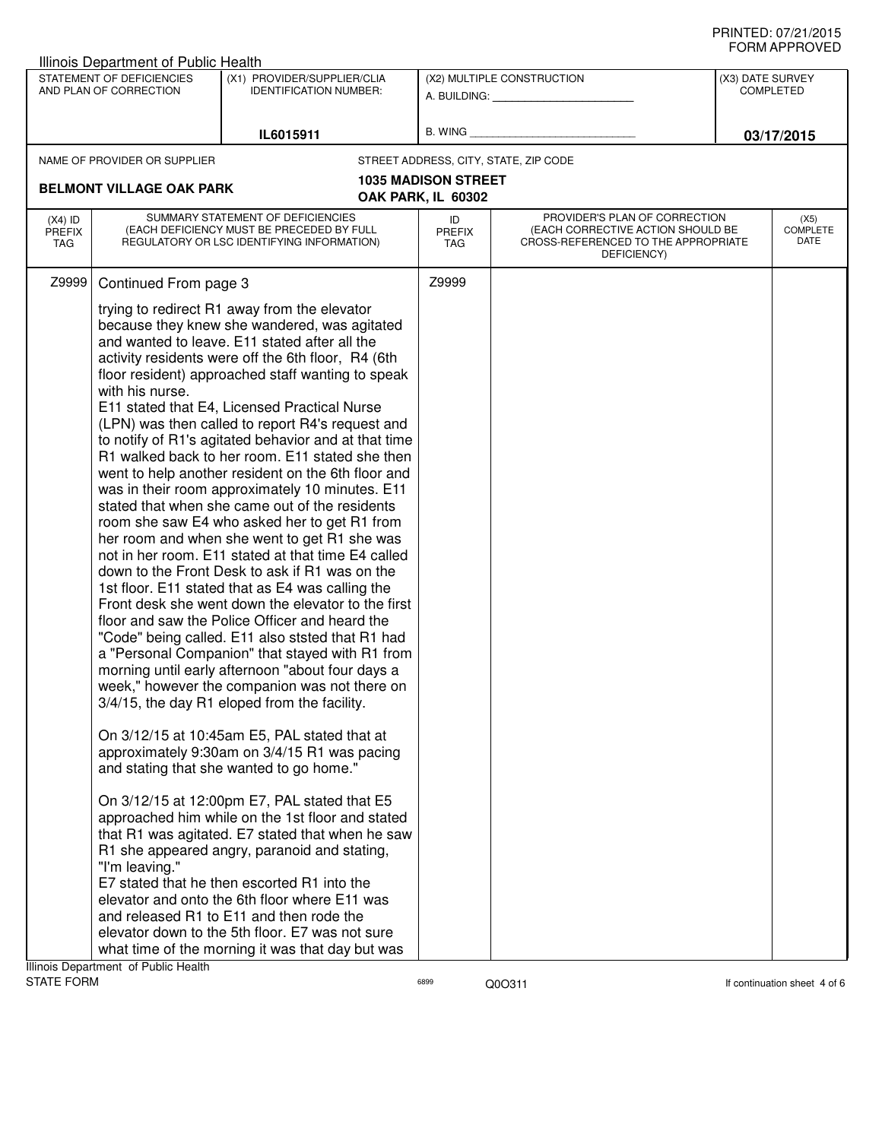| שם ערו וחשווט<br>Illinois Department of Public Health                                                               |                                                                                                                                                                                                                                                                                                                                                                                                                                                                                                                                                                                                                                                                                                                                                                                                                                                                                                                                                                                                                                                                                                                                                                                                                                                                                                                                                                                                                                                                                                                                                                                                                                                                                                                                                                                                                                                                                                                                                                                                                                                                                                                                  |                                                         |                            |                                                                                                                          |  |                                 |
|---------------------------------------------------------------------------------------------------------------------|----------------------------------------------------------------------------------------------------------------------------------------------------------------------------------------------------------------------------------------------------------------------------------------------------------------------------------------------------------------------------------------------------------------------------------------------------------------------------------------------------------------------------------------------------------------------------------------------------------------------------------------------------------------------------------------------------------------------------------------------------------------------------------------------------------------------------------------------------------------------------------------------------------------------------------------------------------------------------------------------------------------------------------------------------------------------------------------------------------------------------------------------------------------------------------------------------------------------------------------------------------------------------------------------------------------------------------------------------------------------------------------------------------------------------------------------------------------------------------------------------------------------------------------------------------------------------------------------------------------------------------------------------------------------------------------------------------------------------------------------------------------------------------------------------------------------------------------------------------------------------------------------------------------------------------------------------------------------------------------------------------------------------------------------------------------------------------------------------------------------------------|---------------------------------------------------------|----------------------------|--------------------------------------------------------------------------------------------------------------------------|--|---------------------------------|
| STATEMENT OF DEFICIENCIES<br>(X1) PROVIDER/SUPPLIER/CLIA<br>AND PLAN OF CORRECTION<br><b>IDENTIFICATION NUMBER:</b> |                                                                                                                                                                                                                                                                                                                                                                                                                                                                                                                                                                                                                                                                                                                                                                                                                                                                                                                                                                                                                                                                                                                                                                                                                                                                                                                                                                                                                                                                                                                                                                                                                                                                                                                                                                                                                                                                                                                                                                                                                                                                                                                                  | (X2) MULTIPLE CONSTRUCTION<br>A. BUILDING: A. BUILDING: |                            | (X3) DATE SURVEY<br><b>COMPLETED</b>                                                                                     |  |                                 |
|                                                                                                                     |                                                                                                                                                                                                                                                                                                                                                                                                                                                                                                                                                                                                                                                                                                                                                                                                                                                                                                                                                                                                                                                                                                                                                                                                                                                                                                                                                                                                                                                                                                                                                                                                                                                                                                                                                                                                                                                                                                                                                                                                                                                                                                                                  | IL6015911                                               | B. WING                    |                                                                                                                          |  | 03/17/2015                      |
|                                                                                                                     | NAME OF PROVIDER OR SUPPLIER                                                                                                                                                                                                                                                                                                                                                                                                                                                                                                                                                                                                                                                                                                                                                                                                                                                                                                                                                                                                                                                                                                                                                                                                                                                                                                                                                                                                                                                                                                                                                                                                                                                                                                                                                                                                                                                                                                                                                                                                                                                                                                     |                                                         |                            | STREET ADDRESS, CITY, STATE, ZIP CODE                                                                                    |  |                                 |
|                                                                                                                     |                                                                                                                                                                                                                                                                                                                                                                                                                                                                                                                                                                                                                                                                                                                                                                                                                                                                                                                                                                                                                                                                                                                                                                                                                                                                                                                                                                                                                                                                                                                                                                                                                                                                                                                                                                                                                                                                                                                                                                                                                                                                                                                                  |                                                         | <b>1035 MADISON STREET</b> |                                                                                                                          |  |                                 |
| $(X4)$ ID<br><b>PREFIX</b><br>TAG                                                                                   |                                                                                                                                                                                                                                                                                                                                                                                                                                                                                                                                                                                                                                                                                                                                                                                                                                                                                                                                                                                                                                                                                                                                                                                                                                                                                                                                                                                                                                                                                                                                                                                                                                                                                                                                                                                                                                                                                                                                                                                                                                                                                                                                  |                                                         | ID<br><b>PREFIX</b><br>TAG | PROVIDER'S PLAN OF CORRECTION<br>(EACH CORRECTIVE ACTION SHOULD BE<br>CROSS-REFERENCED TO THE APPROPRIATE<br>DEFICIENCY) |  | (X5)<br><b>COMPLETE</b><br>DATE |
| Z9999                                                                                                               |                                                                                                                                                                                                                                                                                                                                                                                                                                                                                                                                                                                                                                                                                                                                                                                                                                                                                                                                                                                                                                                                                                                                                                                                                                                                                                                                                                                                                                                                                                                                                                                                                                                                                                                                                                                                                                                                                                                                                                                                                                                                                                                                  |                                                         | Z9999                      |                                                                                                                          |  |                                 |
| Illinois Department of Public Health                                                                                | <b>BELMONT VILLAGE OAK PARK</b><br>OAK PARK, IL 60302<br>SUMMARY STATEMENT OF DEFICIENCIES<br>(EACH DEFICIENCY MUST BE PRECEDED BY FULL<br>REGULATORY OR LSC IDENTIFYING INFORMATION)<br>Continued From page 3<br>trying to redirect R1 away from the elevator<br>because they knew she wandered, was agitated<br>and wanted to leave. E11 stated after all the<br>activity residents were off the 6th floor, R4 (6th<br>floor resident) approached staff wanting to speak<br>with his nurse.<br>E11 stated that E4, Licensed Practical Nurse<br>(LPN) was then called to report R4's request and<br>to notify of R1's agitated behavior and at that time<br>R1 walked back to her room. E11 stated she then<br>went to help another resident on the 6th floor and<br>was in their room approximately 10 minutes. E11<br>stated that when she came out of the residents<br>room she saw E4 who asked her to get R1 from<br>her room and when she went to get R1 she was<br>not in her room. E11 stated at that time E4 called<br>down to the Front Desk to ask if R1 was on the<br>1st floor. E11 stated that as E4 was calling the<br>Front desk she went down the elevator to the first<br>floor and saw the Police Officer and heard the<br>"Code" being called. E11 also ststed that R1 had<br>a "Personal Companion" that stayed with R1 from<br>morning until early afternoon "about four days a<br>week," however the companion was not there on<br>3/4/15, the day R1 eloped from the facility.<br>On 3/12/15 at 10:45am E5, PAL stated that at<br>approximately 9:30am on 3/4/15 R1 was pacing<br>and stating that she wanted to go home."<br>On 3/12/15 at 12:00pm E7, PAL stated that E5<br>approached him while on the 1st floor and stated<br>that R1 was agitated. E7 stated that when he saw<br>R1 she appeared angry, paranoid and stating,<br>"I'm leaving."<br>E7 stated that he then escorted R1 into the<br>elevator and onto the 6th floor where E11 was<br>and released R1 to E11 and then rode the<br>elevator down to the 5th floor. E7 was not sure<br>what time of the morning it was that day but was |                                                         |                            |                                                                                                                          |  |                                 |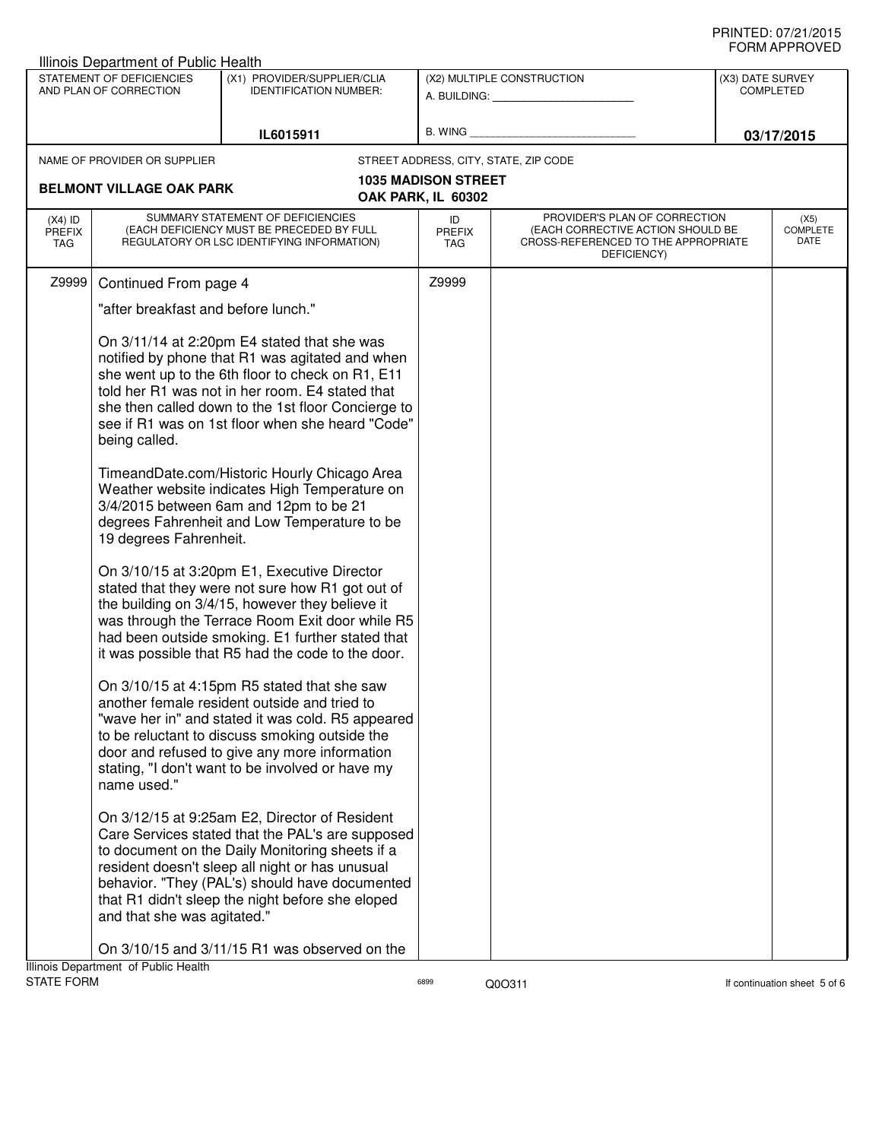|                                          | Illinois Department of Public Health                                                  |                                                                                                                                                                                                                                                                                                                                                                                                                                                                                                                                                                                                                                                                                                                                                                                                                                                                                                                                                                                                                                                                                                                                                                                                                                                                                                                                                                                                                                                          |                            |                                                                                                                          |                  |                                 |
|------------------------------------------|---------------------------------------------------------------------------------------|----------------------------------------------------------------------------------------------------------------------------------------------------------------------------------------------------------------------------------------------------------------------------------------------------------------------------------------------------------------------------------------------------------------------------------------------------------------------------------------------------------------------------------------------------------------------------------------------------------------------------------------------------------------------------------------------------------------------------------------------------------------------------------------------------------------------------------------------------------------------------------------------------------------------------------------------------------------------------------------------------------------------------------------------------------------------------------------------------------------------------------------------------------------------------------------------------------------------------------------------------------------------------------------------------------------------------------------------------------------------------------------------------------------------------------------------------------|----------------------------|--------------------------------------------------------------------------------------------------------------------------|------------------|---------------------------------|
|                                          | STATEMENT OF DEFICIENCIES<br>AND PLAN OF CORRECTION                                   | (X1) PROVIDER/SUPPLIER/CLIA<br><b>IDENTIFICATION NUMBER:</b>                                                                                                                                                                                                                                                                                                                                                                                                                                                                                                                                                                                                                                                                                                                                                                                                                                                                                                                                                                                                                                                                                                                                                                                                                                                                                                                                                                                             |                            | (X2) MULTIPLE CONSTRUCTION                                                                                               | (X3) DATE SURVEY | <b>COMPLETED</b>                |
|                                          |                                                                                       |                                                                                                                                                                                                                                                                                                                                                                                                                                                                                                                                                                                                                                                                                                                                                                                                                                                                                                                                                                                                                                                                                                                                                                                                                                                                                                                                                                                                                                                          |                            | A. BUILDING: A. BUILDING:                                                                                                |                  |                                 |
|                                          |                                                                                       | IL6015911                                                                                                                                                                                                                                                                                                                                                                                                                                                                                                                                                                                                                                                                                                                                                                                                                                                                                                                                                                                                                                                                                                                                                                                                                                                                                                                                                                                                                                                | B. WING                    |                                                                                                                          |                  | 03/17/2015                      |
|                                          |                                                                                       |                                                                                                                                                                                                                                                                                                                                                                                                                                                                                                                                                                                                                                                                                                                                                                                                                                                                                                                                                                                                                                                                                                                                                                                                                                                                                                                                                                                                                                                          |                            |                                                                                                                          |                  |                                 |
|                                          | NAME OF PROVIDER OR SUPPLIER                                                          |                                                                                                                                                                                                                                                                                                                                                                                                                                                                                                                                                                                                                                                                                                                                                                                                                                                                                                                                                                                                                                                                                                                                                                                                                                                                                                                                                                                                                                                          | <b>1035 MADISON STREET</b> | STREET ADDRESS, CITY, STATE, ZIP CODE                                                                                    |                  |                                 |
|                                          | <b>BELMONT VILLAGE OAK PARK</b>                                                       |                                                                                                                                                                                                                                                                                                                                                                                                                                                                                                                                                                                                                                                                                                                                                                                                                                                                                                                                                                                                                                                                                                                                                                                                                                                                                                                                                                                                                                                          | OAK PARK, IL 60302         |                                                                                                                          |                  |                                 |
| $(X4)$ ID<br><b>PREFIX</b><br><b>TAG</b> |                                                                                       | SUMMARY STATEMENT OF DEFICIENCIES<br>(EACH DEFICIENCY MUST BE PRECEDED BY FULL<br>REGULATORY OR LSC IDENTIFYING INFORMATION)                                                                                                                                                                                                                                                                                                                                                                                                                                                                                                                                                                                                                                                                                                                                                                                                                                                                                                                                                                                                                                                                                                                                                                                                                                                                                                                             | ID<br><b>PREFIX</b><br>TAG | PROVIDER'S PLAN OF CORRECTION<br>(EACH CORRECTIVE ACTION SHOULD BE<br>CROSS-REFERENCED TO THE APPROPRIATE<br>DEFICIENCY) |                  | (X5)<br><b>COMPLETE</b><br>DATE |
| Z9999                                    | Continued From page 4                                                                 |                                                                                                                                                                                                                                                                                                                                                                                                                                                                                                                                                                                                                                                                                                                                                                                                                                                                                                                                                                                                                                                                                                                                                                                                                                                                                                                                                                                                                                                          | Z9999                      |                                                                                                                          |                  |                                 |
|                                          | "after breakfast and before lunch."                                                   |                                                                                                                                                                                                                                                                                                                                                                                                                                                                                                                                                                                                                                                                                                                                                                                                                                                                                                                                                                                                                                                                                                                                                                                                                                                                                                                                                                                                                                                          |                            |                                                                                                                          |                  |                                 |
|                                          | being called.<br>19 degrees Fahrenheit.<br>name used."<br>and that she was agitated." | On 3/11/14 at 2:20pm E4 stated that she was<br>notified by phone that R1 was agitated and when<br>she went up to the 6th floor to check on R1, E11<br>told her R1 was not in her room. E4 stated that<br>she then called down to the 1st floor Concierge to<br>see if R1 was on 1st floor when she heard "Code"<br>TimeandDate.com/Historic Hourly Chicago Area<br>Weather website indicates High Temperature on<br>3/4/2015 between 6am and 12pm to be 21<br>degrees Fahrenheit and Low Temperature to be<br>On 3/10/15 at 3:20pm E1, Executive Director<br>stated that they were not sure how R1 got out of<br>the building on 3/4/15, however they believe it<br>was through the Terrace Room Exit door while R5<br>had been outside smoking. E1 further stated that<br>it was possible that R5 had the code to the door.<br>On 3/10/15 at 4:15pm R5 stated that she saw<br>another female resident outside and tried to<br>"wave her in" and stated it was cold. R5 appeared<br>to be reluctant to discuss smoking outside the<br>door and refused to give any more information<br>stating, "I don't want to be involved or have my<br>On 3/12/15 at 9:25am E2, Director of Resident<br>Care Services stated that the PAL's are supposed<br>to document on the Daily Monitoring sheets if a<br>resident doesn't sleep all night or has unusual<br>behavior. "They (PAL's) should have documented<br>that R1 didn't sleep the night before she eloped |                            |                                                                                                                          |                  |                                 |
|                                          | Illinois Department of Public Health                                                  | On 3/10/15 and 3/11/15 R1 was observed on the                                                                                                                                                                                                                                                                                                                                                                                                                                                                                                                                                                                                                                                                                                                                                                                                                                                                                                                                                                                                                                                                                                                                                                                                                                                                                                                                                                                                            |                            |                                                                                                                          |                  |                                 |
| <b>STATE FORM</b>                        |                                                                                       |                                                                                                                                                                                                                                                                                                                                                                                                                                                                                                                                                                                                                                                                                                                                                                                                                                                                                                                                                                                                                                                                                                                                                                                                                                                                                                                                                                                                                                                          | 6899                       | Q0O311                                                                                                                   |                  | If continuation sheet 5 of 6    |